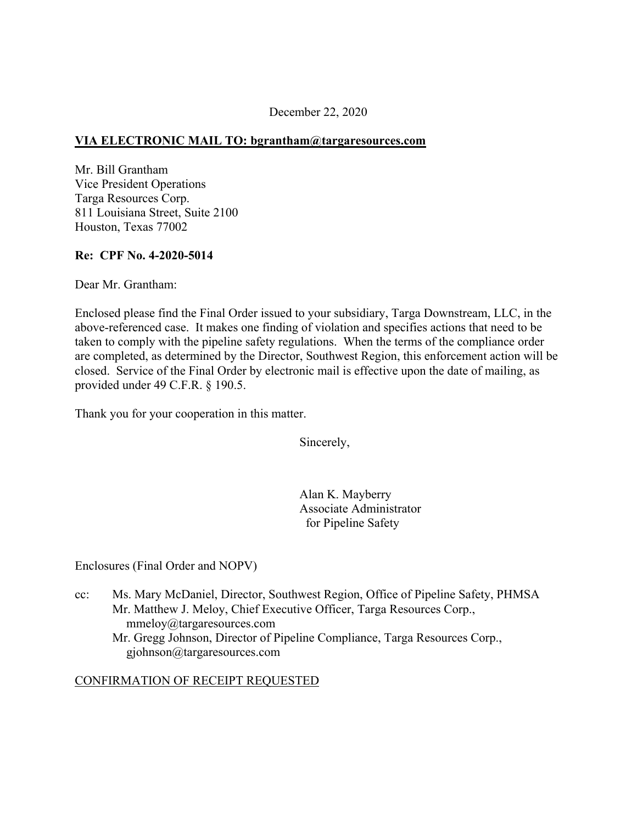## December 22, 2020

## **VIA ELECTRONIC MAIL TO: [bgrantham@targaresources.com](mailto:bgrantham@targaresources.com)**

Mr. Bill Grantham Vice President Operations Targa Resources Corp. 811 Louisiana Street, Suite 2100 Houston, Texas 77002

#### **Re: CPF No. 4-2020-5014**

Dear Mr. Grantham:

Enclosed please find the Final Order issued to your subsidiary, Targa Downstream, LLC, in the above-referenced case. It makes one finding of violation and specifies actions that need to be taken to comply with the pipeline safety regulations. When the terms of the compliance order are completed, as determined by the Director, Southwest Region, this enforcement action will be closed. Service of the Final Order by electronic mail is effective upon the date of mailing, as provided under 49 C.F.R. § 190.5.

Thank you for your cooperation in this matter.

Sincerely,

Alan K. Mayberry Associate Administrator for Pipeline Safety

Enclosures (Final Order and NOPV)

cc: Ms. Mary McDaniel, Director, Southwest Region, Office of Pipeline Safety, PHMSA Mr. Matthew J. Meloy, Chief Executive Officer, Targa Resources Corp., [mmeloy@targaresources.com](mailto:mmeloy@targaresources.com)  Mr. Gregg Johnson, Director of Pipeline Compliance, Targa Resources Corp., [gjohnson@targaresources.com](mailto:gjohnson@targaresources.com) 

#### CONFIRMATION OF RECEIPT REQUESTED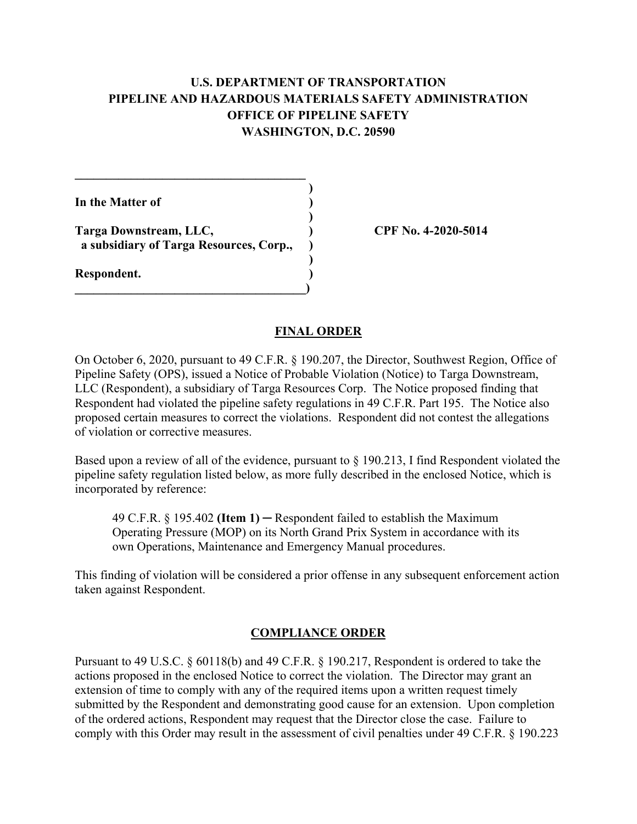# **U.S. DEPARTMENT OF TRANSPORTATION PIPELINE AND HAZARDOUS MATERIALS SAFETY ADMINISTRATION OFFICE OF PIPELINE SAFETY WASHINGTON, D.C. 20590**

**)** 

**)** 

**In the Matter of )** 

**Targa Downstream, LLC, ) CPF No. 4-2020-5014 a subsidiary of Targa Resources, Corp., ) )** 

**\_\_\_\_\_\_\_\_\_\_\_\_\_\_\_\_\_\_\_\_\_\_\_\_\_\_\_\_\_\_\_\_\_\_\_\_\_)** 

 $\mathcal{L}=\{1,2,3,4\}$ 

**Respondent. )** 

#### **FINAL ORDER**

On October 6, 2020, pursuant to 49 C.F.R. § 190.207, the Director, Southwest Region, Office of Pipeline Safety (OPS), issued a Notice of Probable Violation (Notice) to Targa Downstream, LLC (Respondent), a subsidiary of Targa Resources Corp. The Notice proposed finding that Respondent had violated the pipeline safety regulations in 49 C.F.R. Part 195. The Notice also proposed certain measures to correct the violations. Respondent did not contest the allegations of violation or corrective measures.

Based upon a review of all of the evidence, pursuant to § 190.213, I find Respondent violated the pipeline safety regulation listed below, as more fully described in the enclosed Notice, which is incorporated by reference:

49 C.F.R.  $\S$  195.402 (Item 1) – Respondent failed to establish the Maximum Operating Pressure (MOP) on its North Grand Prix System in accordance with its own Operations, Maintenance and Emergency Manual procedures.

This finding of violation will be considered a prior offense in any subsequent enforcement action taken against Respondent.

# **COMPLIANCE ORDER**

Pursuant to 49 U.S.C. § 60118(b) and 49 C.F.R. § 190.217, Respondent is ordered to take the actions proposed in the enclosed Notice to correct the violation. The Director may grant an extension of time to comply with any of the required items upon a written request timely submitted by the Respondent and demonstrating good cause for an extension. Upon completion of the ordered actions, Respondent may request that the Director close the case. Failure to comply with this Order may result in the assessment of civil penalties under 49 C.F.R. § 190.223